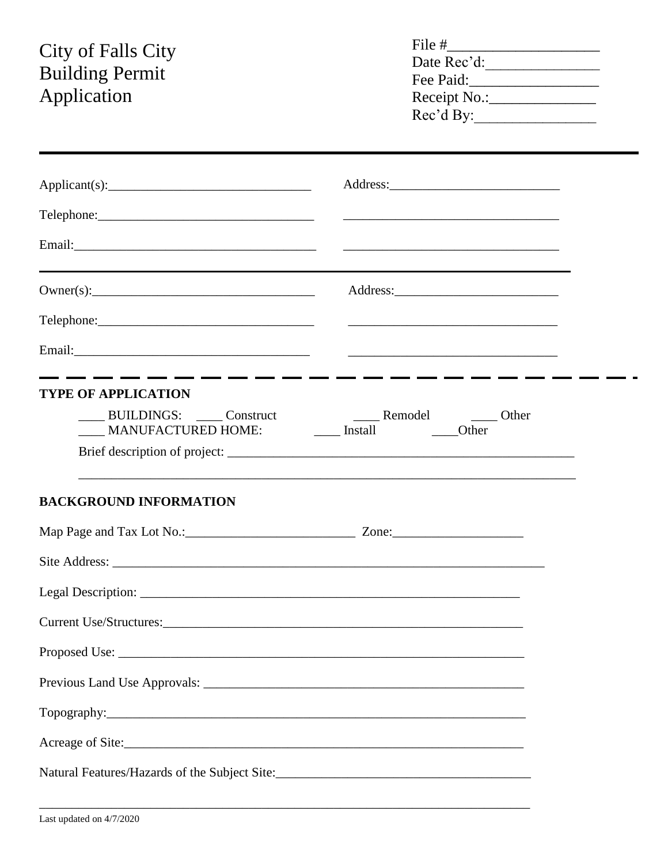# **City of Falls City<br>Building Permit** Application

| File #       |  |
|--------------|--|
| Date Rec'd:  |  |
| Fee Paid:    |  |
| Receipt No.: |  |
| Rec'd By:    |  |

| Applicant(s):                                                                                                                                                      |  |
|--------------------------------------------------------------------------------------------------------------------------------------------------------------------|--|
|                                                                                                                                                                    |  |
|                                                                                                                                                                    |  |
|                                                                                                                                                                    |  |
|                                                                                                                                                                    |  |
|                                                                                                                                                                    |  |
| <b>TYPE OF APPLICATION</b>                                                                                                                                         |  |
| BUILDINGS: Construct Construct Construct Construct Construct Construct Construct Construct Construct Construct<br>MANUFACTURED HOME: _______ Install _______ Other |  |
|                                                                                                                                                                    |  |
| <b>BACKGROUND INFORMATION</b>                                                                                                                                      |  |
|                                                                                                                                                                    |  |
|                                                                                                                                                                    |  |
|                                                                                                                                                                    |  |
|                                                                                                                                                                    |  |
|                                                                                                                                                                    |  |
|                                                                                                                                                                    |  |
|                                                                                                                                                                    |  |
| Natural Features/Hazards of the Subject Site:___________________________________                                                                                   |  |
|                                                                                                                                                                    |  |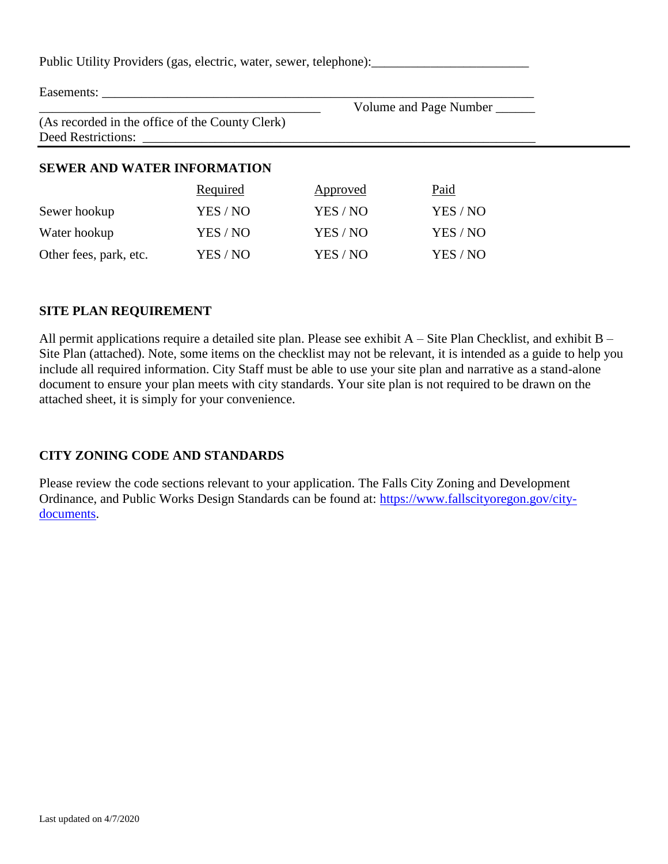Public Utility Providers (gas, electric, water, sewer, telephone): Easements: Volume and Page Number \_\_\_\_\_\_\_ (As recorded in the office of the County Clerk) Deed Restrictions: **SEWER AND WATER INFORMATION** Required Approved Paid Sewer hookup YES / NO YES / NO YES / NO Water hookup YES / NO YES / NO YES / NO

#### **SITE PLAN REQUIREMENT**

All permit applications require a detailed site plan. Please see exhibit A – Site Plan Checklist, and exhibit B – Site Plan (attached). Note, some items on the checklist may not be relevant, it is intended as a guide to help you include all required information. City Staff must be able to use your site plan and narrative as a stand-alone document to ensure your plan meets with city standards. Your site plan is not required to be drawn on the attached sheet, it is simply for your convenience.

Other fees, park, etc. YES / NO YES / NO YES / NO

## **CITY ZONING CODE AND STANDARDS**

Please review the code sections relevant to your application. The Falls City Zoning and Development Ordinance, and Public Works Design Standards can be found at: [https://www.fallscityoregon.gov/city](https://www.fallscityoregon.gov/city-documents)[documents.](https://www.fallscityoregon.gov/city-documents)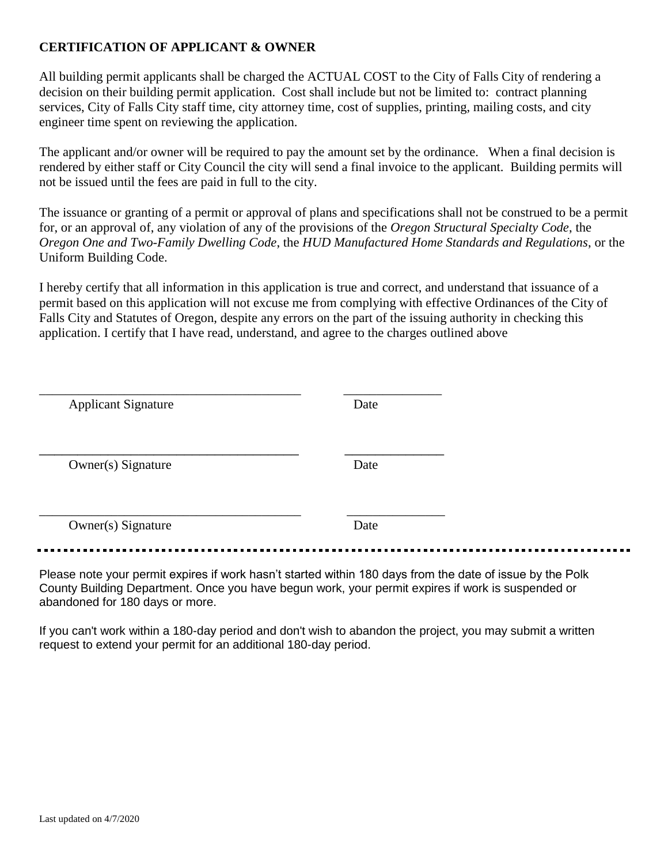## **CERTIFICATION OF APPLICANT & OWNER**

All building permit applicants shall be charged the ACTUAL COST to the City of Falls City of rendering a decision on their building permit application. Cost shall include but not be limited to: contract planning services, City of Falls City staff time, city attorney time, cost of supplies, printing, mailing costs, and city engineer time spent on reviewing the application.

The applicant and/or owner will be required to pay the amount set by the ordinance. When a final decision is rendered by either staff or City Council the city will send a final invoice to the applicant. Building permits will not be issued until the fees are paid in full to the city.

The issuance or granting of a permit or approval of plans and specifications shall not be construed to be a permit for, or an approval of, any violation of any of the provisions of the *Oregon Structural Specialty Code*, the *Oregon One and Two-Family Dwelling Code*, the *HUD Manufactured Home Standards and Regulations*, or the Uniform Building Code.

I hereby certify that all information in this application is true and correct, and understand that issuance of a permit based on this application will not excuse me from complying with effective Ordinances of the City of Falls City and Statutes of Oregon, despite any errors on the part of the issuing authority in checking this application. I certify that I have read, understand, and agree to the charges outlined above

| <b>Applicant Signature</b> | Date |
|----------------------------|------|
| Owner(s) Signature         | Date |
| Owner(s) Signature         | Date |

Please note your permit expires if work hasn't started within 180 days from the date of issue by the Polk County Building Department. Once you have begun work, your permit expires if work is suspended or abandoned for 180 days or more.

If you can't work within a 180-day period and don't wish to abandon the project, you may submit a written request to extend your permit for an additional 180-day period.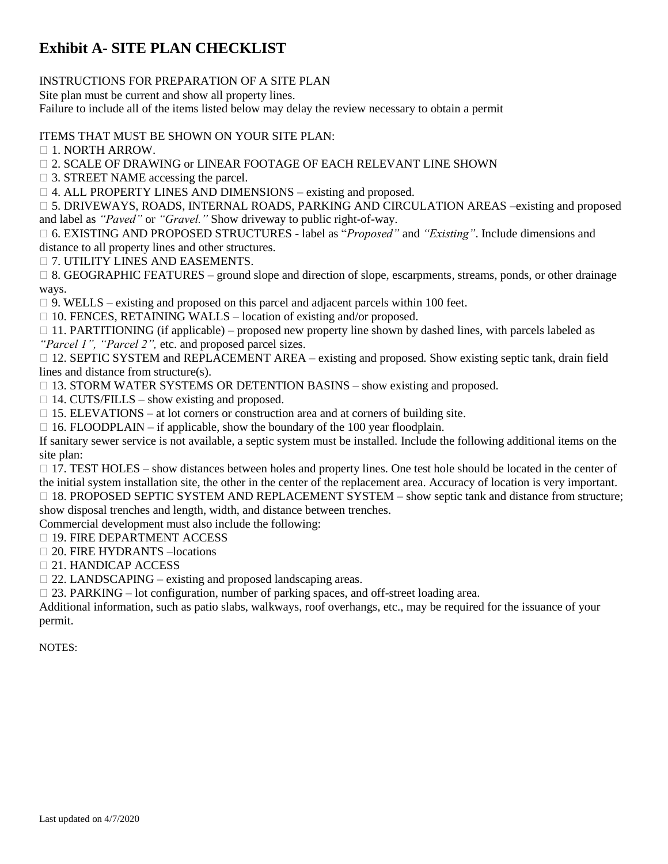# **Exhibit A- SITE PLAN CHECKLIST**

### INSTRUCTIONS FOR PREPARATION OF A SITE PLAN

Site plan must be current and show all property lines.

Failure to include all of the items listed below may delay the review necessary to obtain a permit

#### ITEMS THAT MUST BE SHOWN ON YOUR SITE PLAN:

 $\Box$  1. NORTH ARROW.

 $\Box$  2. SCALE OF DRAWING or LINEAR FOOTAGE OF EACH RELEVANT LINE SHOWN

3. STREET NAME accessing the parcel.

□ 4. ALL PROPERTY LINES AND DIMENSIONS – existing and proposed.

 5. DRIVEWAYS, ROADS, INTERNAL ROADS, PARKING AND CIRCULATION AREAS –existing and proposed and label as *"Paved"* or *"Gravel."* Show driveway to public right-of-way.

 6. EXISTING AND PROPOSED STRUCTURES - label as "*Proposed"* and *"Existing"*. Include dimensions and distance to all property lines and other structures.

7. UTILITY LINES AND EASEMENTS.

 8. GEOGRAPHIC FEATURES – ground slope and direction of slope, escarpments*,* streams, ponds, or other drainage ways.

 $\Box$  9. WELLS – existing and proposed on this parcel and adjacent parcels within 100 feet.

 $\Box$  10. FENCES, RETAINING WALLS – location of existing and/or proposed.

 $\Box$  11. PARTITIONING (if applicable) – proposed new property line shown by dashed lines, with parcels labeled as *"Parcel 1", "Parcel 2",* etc. and proposed parcel sizes.

 12. SEPTIC SYSTEM and REPLACEMENT AREA – existing and proposed*.* Show existing septic tank, drain field lines and distance from structure(s).

 $\Box$  13. STORM WATER SYSTEMS OR DETENTION BASINS – show existing and proposed.

 $\Box$  14. CUTS/FILLS – show existing and proposed.

 $\Box$  15. ELEVATIONS – at lot corners or construction area and at corners of building site.

 $\Box$  16. FLOODPLAIN – if applicable, show the boundary of the 100 year floodplain.

If sanitary sewer service is not available, a septic system must be installed. Include the following additional items on the site plan:

 $\Box$  17. TEST HOLES – show distances between holes and property lines. One test hole should be located in the center of the initial system installation site, the other in the center of the replacement area. Accuracy of location is very important.

□ 18. PROPOSED SEPTIC SYSTEM AND REPLACEMENT SYSTEM – show septic tank and distance from structure; show disposal trenches and length, width, and distance between trenches.

Commercial development must also include the following:

□ 19. FIRE DEPARTMENT ACCESS

20. FIRE HYDRANTS –locations

21. HANDICAP ACCESS

 $\Box$  22. LANDSCAPING – existing and proposed landscaping areas.

□ 23. PARKING – lot configuration, number of parking spaces, and off-street loading area.

Additional information, such as patio slabs, walkways, roof overhangs, etc., may be required for the issuance of your permit.

NOTES: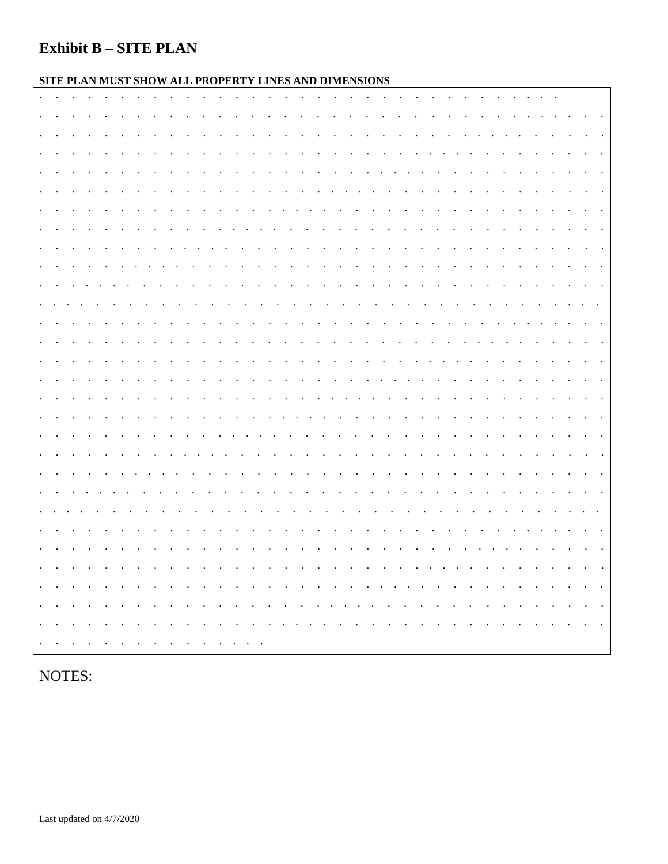## **Exhibit B - SITE PLAN**

## SITE PLAN MUST SHOW ALL PROPERTY LINES AND DIMENSIONS

| $\,$ .                                   |  |  |                      |                      |                                                                                           |                                          |                      |                      |                                   |                      |                          |               |                                                                                                                                                     |                                |        |                                                                                          |                          |                                                                                                                                                                                                                                |           |                      |                              |                          |                         |                          |         |         |                |  |  |
|------------------------------------------|--|--|----------------------|----------------------|-------------------------------------------------------------------------------------------|------------------------------------------|----------------------|----------------------|-----------------------------------|----------------------|--------------------------|---------------|-----------------------------------------------------------------------------------------------------------------------------------------------------|--------------------------------|--------|------------------------------------------------------------------------------------------|--------------------------|--------------------------------------------------------------------------------------------------------------------------------------------------------------------------------------------------------------------------------|-----------|----------------------|------------------------------|--------------------------|-------------------------|--------------------------|---------|---------|----------------|--|--|
| $\,$ .                                   |  |  |                      |                      |                                                                                           |                                          |                      |                      |                                   |                      |                          |               |                                                                                                                                                     |                                |        |                                                                                          |                          |                                                                                                                                                                                                                                |           |                      |                              |                          |                         |                          |         |         |                |  |  |
| $\blacksquare$                           |  |  |                      |                      |                                                                                           |                                          |                      |                      |                                   |                      |                          |               |                                                                                                                                                     | $\sim$                         |        |                                                                                          | <b>Contract Contract</b> |                                                                                                                                                                                                                                |           |                      |                              | $\cdot$                  |                         |                          |         |         |                |  |  |
| $\blacksquare$                           |  |  |                      |                      |                                                                                           |                                          |                      |                      |                                   |                      |                          |               |                                                                                                                                                     |                                |        |                                                                                          |                          |                                                                                                                                                                                                                                |           |                      |                              |                          |                         |                          |         |         |                |  |  |
| $\blacksquare$ .                         |  |  |                      |                      |                                                                                           |                                          |                      |                      |                                   |                      |                          |               |                                                                                                                                                     |                                |        |                                                                                          |                          |                                                                                                                                                                                                                                |           |                      |                              |                          |                         |                          |         |         |                |  |  |
| $\ddot{\phantom{a}}$                     |  |  |                      |                      |                                                                                           |                                          |                      |                      |                                   |                      |                          |               |                                                                                                                                                     |                                |        |                                                                                          |                          |                                                                                                                                                                                                                                |           |                      |                              |                          |                         |                          |         |         |                |  |  |
| $\blacksquare$                           |  |  |                      |                      |                                                                                           |                                          |                      |                      |                                   |                      |                          |               | $\bullet$ .<br><br><br><br><br><br><br><br><br><br><br><br><br><br><br><br><br><br><br><br><br><br><br><br><br><br><br><br><br><br><br><br><br><br> |                                |        |                                                                                          |                          |                                                                                                                                                                                                                                |           |                      |                              |                          |                         |                          |         |         |                |  |  |
| $\ddot{\phantom{a}}$<br>$\blacksquare$ . |  |  | $\ddot{\phantom{a}}$ |                      |                                                                                           | $\ddot{\phantom{a}}$                     |                      |                      |                                   | $\ddot{\phantom{a}}$ |                          | $\sim$        | $\sim$ $\sim$                                                                                                                                       | $\sim$<br>$\ddot{\phantom{1}}$ |        |                                                                                          |                          |                                                                                                                                                                                                                                |           |                      |                              | $\overline{\phantom{a}}$ |                         | $\overline{\phantom{a}}$ | $\cdot$ |         |                |  |  |
| $\blacksquare$                           |  |  |                      | $\cdot$              | $\sim$                                                                                    | $\sim$                                   | $\ddot{\phantom{a}}$ | $\ddot{\phantom{1}}$ |                                   | $\ddot{\phantom{0}}$ |                          |               |                                                                                                                                                     |                                |        |                                                                                          |                          |                                                                                                                                                                                                                                |           |                      | $\blacksquare$               |                          |                         | $\ddot{\phantom{0}}$     |         |         |                |  |  |
| $\sim$                                   |  |  |                      |                      |                                                                                           | the contract of the contract of the con- |                      |                      |                                   |                      |                          |               |                                                                                                                                                     |                                |        | the contract of the contract of                                                          |                          |                                                                                                                                                                                                                                |           |                      |                              |                          |                         |                          |         |         |                |  |  |
| $\ddot{\phantom{a}}$                     |  |  | $\sim$               | $\sim$ $\sim$        | $\mathcal{A}(\mathbf{x})$ , and $\mathcal{A}(\mathbf{x})$ , and $\mathcal{A}(\mathbf{x})$ |                                          |                      |                      | and the state of the state of the |                      |                          |               |                                                                                                                                                     |                                |        |                                                                                          |                          | the contract of the contract of the contract of the contract of the contract of the contract of the contract of the contract of the contract of the contract of the contract of the contract of the contract of the contract o |           | $\sim 100$           | the contract of the contract |                          |                         |                          |         |         | $\blacksquare$ |  |  |
| $\blacksquare$ .                         |  |  |                      |                      |                                                                                           |                                          |                      |                      |                                   |                      |                          | $\sim$        |                                                                                                                                                     | $\sim$ $\sim$                  |        | $\mathcal{L}(\mathcal{A})$ and $\mathcal{A}(\mathcal{A})$ and $\mathcal{A}(\mathcal{A})$ |                          |                                                                                                                                                                                                                                |           | $\ddot{\phantom{0}}$ |                              |                          | $\sim 100$ km s $^{-1}$ |                          |         |         |                |  |  |
| $\blacksquare$                           |  |  |                      |                      |                                                                                           |                                          |                      |                      |                                   |                      | $\sim$ $\sim$            | $\sim$ $\sim$ | $\sim$ $\sim$                                                                                                                                       | <b>Contract Contract</b>       |        |                                                                                          |                          |                                                                                                                                                                                                                                |           |                      | $\sim$ $\sim$                | $\sim$ $\sim$            |                         | $\sim$                   | $\sim$  |         |                |  |  |
| $\blacksquare$                           |  |  |                      |                      |                                                                                           |                                          |                      |                      |                                   |                      |                          |               |                                                                                                                                                     |                                |        |                                                                                          |                          |                                                                                                                                                                                                                                |           |                      |                              |                          |                         |                          |         |         |                |  |  |
| $\ddot{\phantom{a}}$                     |  |  |                      |                      | $\cdot$                                                                                   | $\sim$                                   | $\sim$ 100 $\pm$     | $\sim$               | $\bullet$                         | $\sim$ $\sim$        | <b>Contract Contract</b> |               |                                                                                                                                                     |                                |        | the contract of the contract of the                                                      |                          | $\bullet$                                                                                                                                                                                                                      | $\bullet$ |                      | $\ddot{\phantom{0}}$         | $\sim$                   |                         | $\sim$ $\sim$            |         | $\cdot$ | $\bullet$      |  |  |
| $\blacksquare$ .                         |  |  |                      |                      |                                                                                           |                                          |                      |                      |                                   |                      |                          |               |                                                                                                                                                     |                                |        |                                                                                          |                          |                                                                                                                                                                                                                                |           |                      |                              |                          |                         |                          |         |         |                |  |  |
| $\blacksquare$                           |  |  |                      | $\cdot$              |                                                                                           |                                          |                      |                      |                                   |                      |                          |               | $\ddot{\phantom{1}}$                                                                                                                                |                                | $\sim$ |                                                                                          | $\cdot$                  |                                                                                                                                                                                                                                |           |                      |                              |                          |                         | $\bullet$                |         |         |                |  |  |
| $\blacksquare$                           |  |  |                      |                      |                                                                                           |                                          |                      |                      |                                   |                      |                          |               |                                                                                                                                                     |                                |        |                                                                                          |                          |                                                                                                                                                                                                                                |           |                      |                              |                          |                         |                          |         |         |                |  |  |
| $\ddot{\phantom{a}}$                     |  |  |                      | $\ddot{\phantom{1}}$ | $\ddot{\phantom{0}}$                                                                      | $\bullet$                                |                      | $\blacksquare$       |                                   | $\sim$               |                          | $\cdot$       |                                                                                                                                                     |                                |        | $\cdot$                                                                                  |                          |                                                                                                                                                                                                                                |           |                      | $\ddot{\phantom{1}}$         | $\sim$                   |                         | $\sim$ 100 $\pm$         | $\sim$  |         |                |  |  |
| $\blacksquare$                           |  |  |                      |                      |                                                                                           |                                          |                      |                      |                                   |                      |                          |               |                                                                                                                                                     |                                |        |                                                                                          |                          |                                                                                                                                                                                                                                |           |                      |                              |                          |                         |                          |         |         |                |  |  |
| $\ddot{\phantom{a}}$                     |  |  |                      |                      |                                                                                           |                                          |                      |                      |                                   |                      |                          |               |                                                                                                                                                     |                                |        |                                                                                          |                          |                                                                                                                                                                                                                                |           |                      |                              |                          |                         |                          |         |         |                |  |  |
| $\,$ .                                   |  |  |                      |                      |                                                                                           |                                          |                      |                      |                                   |                      |                          |               |                                                                                                                                                     |                                |        |                                                                                          |                          |                                                                                                                                                                                                                                |           |                      |                              |                          |                         |                          |         |         |                |  |  |
| $\blacksquare$                           |  |  |                      |                      |                                                                                           |                                          |                      |                      |                                   |                      |                          |               |                                                                                                                                                     |                                |        |                                                                                          |                          |                                                                                                                                                                                                                                |           |                      |                              |                          |                         |                          |         |         |                |  |  |
| $\,$ .                                   |  |  |                      |                      |                                                                                           |                                          |                      |                      |                                   |                      |                          |               |                                                                                                                                                     |                                |        |                                                                                          |                          |                                                                                                                                                                                                                                |           |                      |                              |                          |                         |                          |         |         |                |  |  |
| $\,$ .                                   |  |  |                      |                      |                                                                                           |                                          |                      |                      |                                   |                      |                          |               |                                                                                                                                                     |                                |        |                                                                                          |                          |                                                                                                                                                                                                                                |           |                      |                              |                          |                         |                          |         |         |                |  |  |
| $\cdot$                                  |  |  |                      |                      |                                                                                           |                                          |                      |                      |                                   |                      |                          |               |                                                                                                                                                     |                                |        |                                                                                          |                          |                                                                                                                                                                                                                                |           |                      |                              |                          |                         |                          |         |         |                |  |  |
|                                          |  |  |                      |                      |                                                                                           |                                          |                      |                      |                                   |                      |                          |               |                                                                                                                                                     |                                |        |                                                                                          |                          |                                                                                                                                                                                                                                |           |                      |                              |                          |                         |                          |         |         |                |  |  |
|                                          |  |  |                      |                      |                                                                                           |                                          |                      |                      |                                   |                      |                          |               |                                                                                                                                                     |                                |        |                                                                                          |                          |                                                                                                                                                                                                                                |           |                      |                              |                          |                         |                          |         |         |                |  |  |

NOTES: